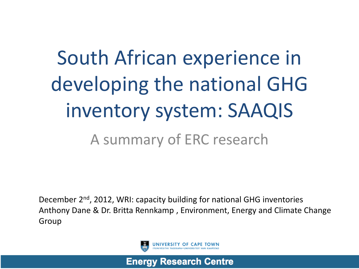# South African experience in developing the national GHG inventory system: SAAQIS A summary of ERC research

December 2nd, 2012, WRI: capacity building for national GHG inventories Anthony Dane & Dr. Britta Rennkamp , Environment, Energy and Climate Change Group

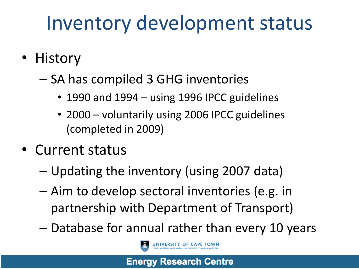### Inventory development status

- History
	- SA has compiled 3 GHG inventories
		- 1990 and 1994 using 1996 IPCC guidelines
		- 2000 voluntarily using 2006 IPCC guidelines (completed in 2009)
- Current status
	- Updating the inventory (using 2007 data)
	- Aim to develop sectoral inventories (e.g. in partnership with Department of Transport)
	- Database for annual rather than every 10 years

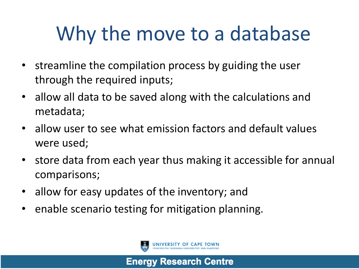## Why the move to a database

- streamline the compilation process by guiding the user through the required inputs;
- allow all data to be saved along with the calculations and metadata;
- allow user to see what emission factors and default values were used;
- store data from each year thus making it accessible for annual comparisons;
- allow for easy updates of the inventory; and
- enable scenario testing for mitigation planning.

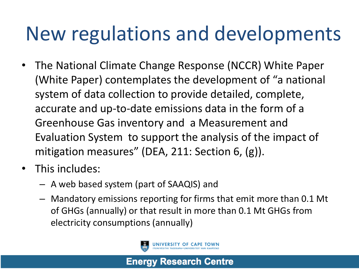#### New regulations and developments

- The National Climate Change Response (NCCR) White Paper (White Paper) contemplates the development of "a national system of data collection to provide detailed, complete, accurate and up-to-date emissions data in the form of a Greenhouse Gas inventory and a Measurement and Evaluation System to support the analysis of the impact of mitigation measures" (DEA, 211: Section 6, (g)).
- This includes:
	- A web based system (part of SAAQIS) and
	- Mandatory emissions reporting for firms that emit more than 0.1 Mt of GHGs (annually) or that result in more than 0.1 Mt GHGs from electricity consumptions (annually)

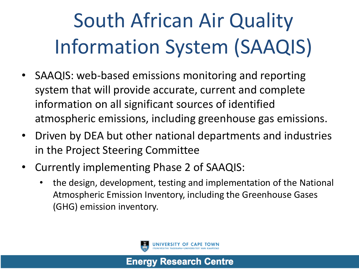# South African Air Quality Information System (SAAQIS)

- SAAQIS: web-based emissions monitoring and reporting system that will provide accurate, current and complete information on all significant sources of identified atmospheric emissions, including greenhouse gas emissions.
- Driven by DEA but other national departments and industries in the Project Steering Committee
- Currently implementing Phase 2 of SAAQIS:
	- the design, development, testing and implementation of the National Atmospheric Emission Inventory, including the Greenhouse Gases (GHG) emission inventory.

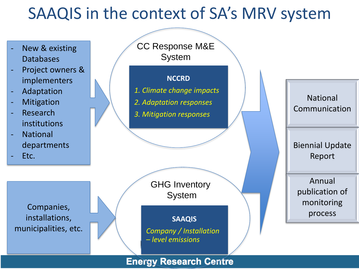#### SAAQIS in the context of SA's MRV system

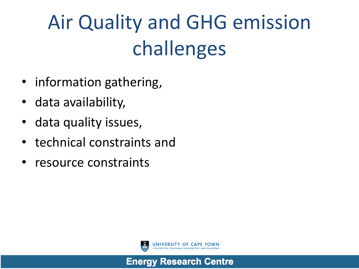# Air Quality and GHG emission challenges

- information gathering,
- data availability,
- data quality issues,
- technical constraints and
- resource constraints

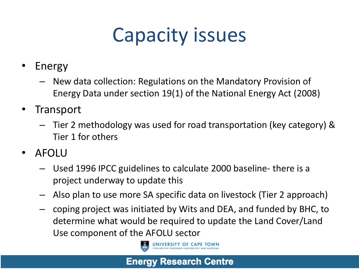## Capacity issues

- **Energy** 
	- New data collection: Regulations on the Mandatory Provision of Energy Data under section 19(1) of the National Energy Act (2008)
- **Transport** 
	- Tier 2 methodology was used for road transportation (key category) & Tier 1 for others
- AFOLU
	- Used 1996 IPCC guidelines to calculate 2000 baseline- there is a project underway to update this
	- Also plan to use more SA specific data on livestock (Tier 2 approach)
	- coping project was initiated by Wits and DEA, and funded by BHC, to determine what would be required to update the Land Cover/Land Use component of the AFOLU sector



**SITY OF CAPE TOWN**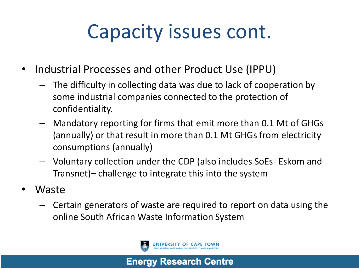## Capacity issues cont.

- Industrial Processes and other Product Use (IPPU)
	- The difficulty in collecting data was due to lack of cooperation by some industrial companies connected to the protection of confidentiality.
	- Mandatory reporting for firms that emit more than 0.1 Mt of GHGs (annually) or that result in more than 0.1 Mt GHGs from electricity consumptions (annually)
	- Voluntary collection under the CDP (also includes SoEs- Eskom and Transnet)– challenge to integrate this into the system
- Waste
	- Certain generators of waste are required to report on data using the online South African Waste Information System

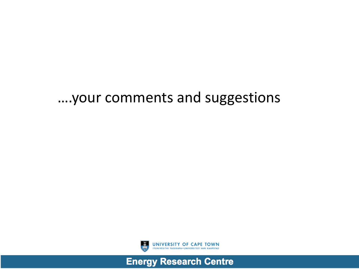#### ….your comments and suggestions